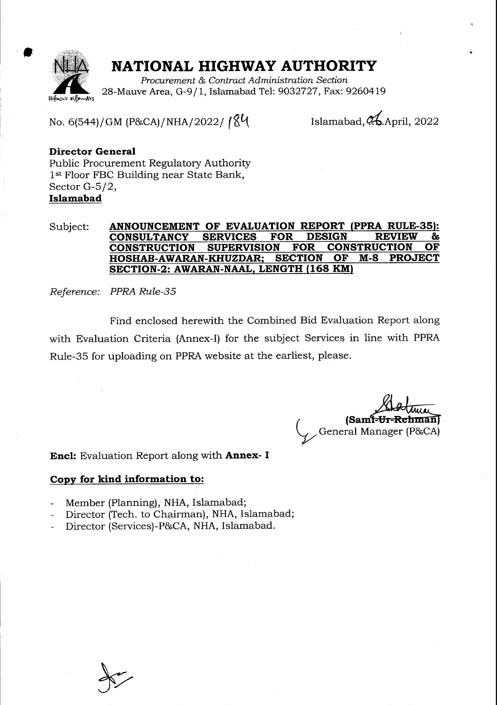

t

### NATIONAL HIGHWAY AUTHORITY

Procurement & Contract Administration Section 28-Mauve Area, G-9/1, Islamabad Tel: 9032727, Fax: 9260419

No. 6(544)/GM (P&CA)/NHA/2022/18 $\frac{1}{8}$ 

Islamabad,  $\lambda$ . April, 2022

### Director General

Fublic Procurement Regulatory Authority 1st Floor FBC Building near State Bank, Sector G-5/2, Islamabad

#### Subject: **ANNOUNCEMENT OF EVALUATION REPORT (PPRA RULE-35):**<br>CONSULTANCY SERVICES FOR DESIGN REVIEW & <u>CONSULTANCY SERVICES FOR DESIGN REVIEW &</u><br>CONSTRUCTION SUPERVISION FOR CONSTRUCTION OF CONSTRUCTION SUPERVISION FOR CONSTRUCTION OF HOSHAB-AWARAN-KHUZDAR; SECTION SECTION-2: AWARAN-NAAL, LENGTH (168 KM)

Reference: PPRA Rule-35

Find enclosed herewith the Combined Bid Evaluation Report along with Evaluation Criteria (Annex-I) for the subject Services in line with PPRA Rule-35 for uploading on PPRA website at the earliest, please.

(Sami-U General Manager (P&CA)

**Encl:** Evaluation Report along with **Annex- I** 

#### Copy for kind information to:

- Member (Planning), NHA, Islamabad;
- Director (Tech. to Chairman), NHA, Islamabad;
- Director (Services)-P&CA, NHA, Islamabad.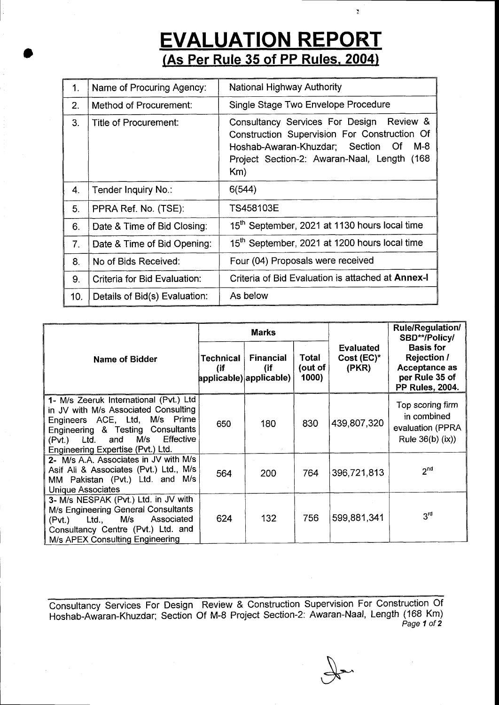# **EVALUATION REPORT**<br>(As Per Rule 35 of PP Rules, 2004)

 $\overline{\mathcal{X}}$ 

;

| 1 <sub>1</sub> | Name of Procuring Agency:     | <b>National Highway Authority</b>                                                                                                                                                                   |
|----------------|-------------------------------|-----------------------------------------------------------------------------------------------------------------------------------------------------------------------------------------------------|
| 2.             | Method of Procurement:        | Single Stage Two Envelope Procedure                                                                                                                                                                 |
| 3.             | Title of Procurement:         | Consultancy Services For Design Review &<br>Construction Supervision For Construction Of<br>Hoshab-Awaran-Khuzdar; Section<br>$M-8$<br>Of<br>Project Section-2: Awaran-Naal, Length (168)<br>$Km$ ) |
| 4.             | Tender Inquiry No.:           | 6(544)                                                                                                                                                                                              |
| 5.             | PPRA Ref. No. (TSE):          | TS458103E                                                                                                                                                                                           |
| 6.             | Date & Time of Bid Closing:   | 15 <sup>th</sup> September, 2021 at 1130 hours local time                                                                                                                                           |
| 7.             | Date & Time of Bid Opening:   | 15 <sup>th</sup> September, 2021 at 1200 hours local time                                                                                                                                           |
| 8.             | No of Bids Received:          | Four (04) Proposals were received                                                                                                                                                                   |
| 9.             | Criteria for Bid Evaluation:  | Criteria of Bid Evaluation is attached at Annex-I                                                                                                                                                   |
| 10.            | Details of Bid(s) Evaluation: | As below                                                                                                                                                                                            |

|                                                                                                                                                                                                                                        | <b>Marks</b>            |                                             |                           |                                            | <b>Rule/Regulation/</b><br>SBD**/Policy/                                                            |  |
|----------------------------------------------------------------------------------------------------------------------------------------------------------------------------------------------------------------------------------------|-------------------------|---------------------------------------------|---------------------------|--------------------------------------------|-----------------------------------------------------------------------------------------------------|--|
| Name of Bidder                                                                                                                                                                                                                         | <b>Technical</b><br>(if | Financial<br>(if<br>applicable) applicable) | Total<br>(out of<br>1000) | <b>Evaluated</b><br>$Cost (EC)^*$<br>(PKR) | <b>Basis for</b><br><b>Rejection /</b><br>Acceptance as<br>per Rule 35 of<br><b>PP Rules, 2004.</b> |  |
| 1- M/s Zeeruk International (Pvt.) Ltd<br>in JV with M/s Associated Consulting<br>Engineers ACE, Ltd, M/s Prime<br>Engineering & Testing Consultants<br>Effective<br>M/s<br>Ltd.<br>and<br>(Pvt.)<br>Engineering Expertise (Pvt.) Ltd. | 650                     | 180                                         | 830                       | 439,807,320                                | Top scoring firm<br>in combined<br>evaluation (PPRA<br>Rule $36(b)$ (ix))                           |  |
| 2- M/s A.A. Associates in JV with M/s<br>Asif Ali & Associates (Pvt.) Ltd., M/s<br>MM Pakistan (Pvt.) Ltd. and M/s<br>Unique Associates                                                                                                | 564                     | 200                                         | 764                       | 396,721,813                                | 2 <sub>nd</sub>                                                                                     |  |
| 3- M/s NESPAK (Pvt.) Ltd. in JV with<br>M/s Engineering General Consultants<br>Ltd., M/s<br>Associated<br>(Pvt.)<br>Consultancy Centre (Pvt.) Ltd. and<br>M/s APEX Consulting Engineering                                              | 624                     | 132                                         | 756                       | 599,881,341                                | 3 <sup>rd</sup>                                                                                     |  |

Consultancy Services For Design Review & Construction Supervision For Construction Of Hoshab-Awaran-Khuzdar; Section Of M-8 Project Section-2: Awaran-Naal, Length (168 Km)<br>Page 1 of 2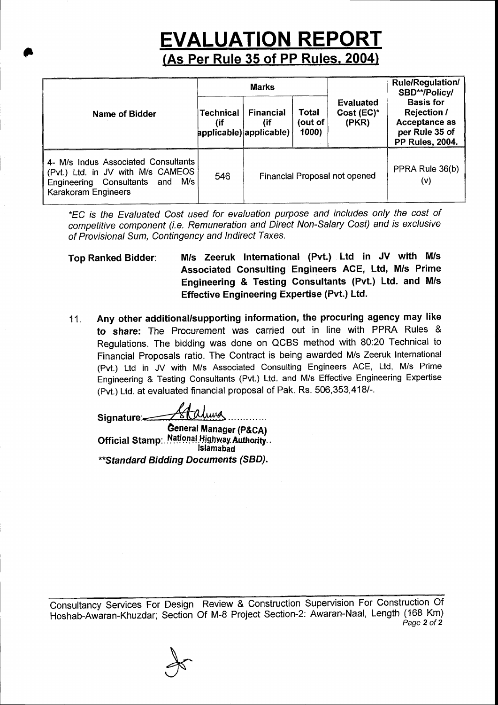### **EVALUATION REPORT** (As Per Rule 35 of PP Rules. 2004)

|                                                                                                                                         | <b>Marks</b>            |                                                    |                          |                                  | <b>Rule/Regulation/</b><br>SBD**/Policy/                                                                   |  |
|-----------------------------------------------------------------------------------------------------------------------------------------|-------------------------|----------------------------------------------------|--------------------------|----------------------------------|------------------------------------------------------------------------------------------------------------|--|
| Name of Bidder                                                                                                                          | <b>Technical</b><br>(if | <b>Financial</b><br>(if<br>applicable) applicable) | Total<br>out of<br>1000) | Evaluated<br>Cost (EC)*<br>(PKR) | <b>Basis for</b><br><b>Rejection /</b><br><b>Acceptance as</b><br>per Rule 35 of<br><b>PP Rules, 2004.</b> |  |
| 4- M/s Indus Associated Consultants<br>(Pvt.) Ltd. in JV with M/s CAMEOS<br>M/s l<br>Engineering Consultants and<br>Karakoram Engineers | 546                     | Financial Proposal not opened                      |                          |                                  | PPRA Rule 36(b)<br>(v)                                                                                     |  |

\*EC is the Evaluated Cost used for evaluation purpose and includes only the cost of competitive component (i.e. Remuneration and Direct Non-Salary Cost) and is exclusive of Provisional Sum, Contingency and lndirect Taxes.

Top Ranked Bidder: M/s Zeeruk International (Pvt.) Ltd in JV with M/s Associated Consulting Engineers ACE, Ltd, M/s Prime Engineering & Testing Consultants (Pvt.) Ltd. and M/s Effective Engineering Expertise (Pvt.) Ltd.

11. Any other additional/supporting information, the procuring agency may like to share: The Procurement was carried out in line with PPRA Rules & Regulations. The bidding was done on QCBS method with 80:20 Technical to Financial Proposals ratio. The Contract is being awarded M/s Zeeruk International (Pvt.) Ltd in JV with M/s Associated Consulting Engineers ACE, Ltd, M/s Prime Engineering & Testing Consultants (Pvt.) Ltd. and M/s Effective Engineering Expertise (Pvt.) Ltd. at evaluated financial proposal of Pak. Rs. 506,353,4181-.

Halma Signature≔

I

General Manager (P&CA) Official Stamp: National Highway Authority.. \*\* Standard Bidding Documents (SBD).

Consultancy Services For Design Review & Construction Supervision For Construction Of Hoshab-Awaran-Khuzdar; Section Of M-8 Project Section-2: Awaran-Naal, Length (168 Km) Page 2 of 2

&'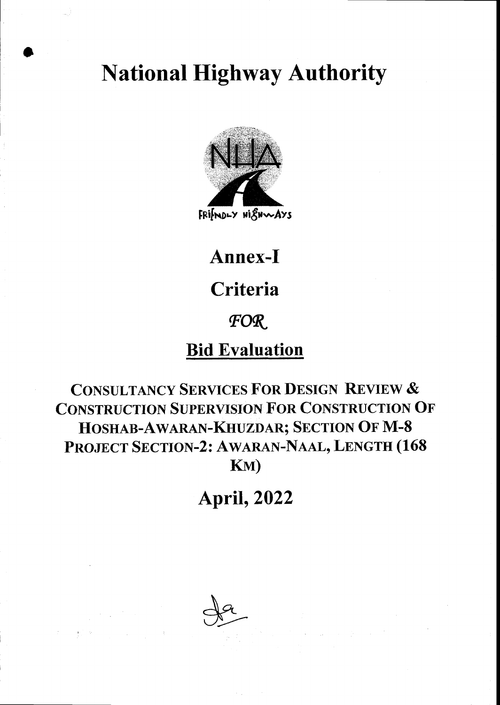# **National Highway Authority**



FRIMDLY HISHWAYS

# Annex-I

# Criteria

## FOR.

### **Bid Evaluation**

### **CONSULTANCY SERVICES FOR DESIGN REVIEW & CONSTRUCTION SUPERVISION FOR CONSTRUCTION OF** HOSHAB-AWARAN-KHUZDAR; SECTION OF M-8 PROJECT SECTION-2: AWARAN-NAAL, LENGTH (168 KM)

# **April, 2022**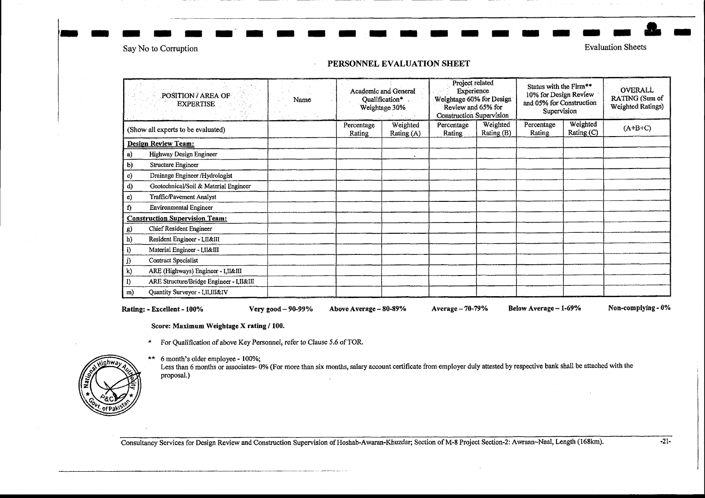Say No to Corruption

**Evaluation Sheets** 

#### PERSONNEL EVALUATION SHEET

| POSITION / AREA OF<br><b>EXPERTISE</b> |                                          | Name | Academic and General<br>Qualification*<br>Weightage 30% |                        | Project related<br>Experience<br>Weightage 60% for Design<br>Review and 65% for<br><b>Construction Supervision</b> |                        | Status with the Firm**<br>10% for Design Review<br>and 05% for Construction<br>Supervision |                          | <b>OVERALL</b><br>RATING (Sum of<br>Weighted Ratings) |  |
|----------------------------------------|------------------------------------------|------|---------------------------------------------------------|------------------------|--------------------------------------------------------------------------------------------------------------------|------------------------|--------------------------------------------------------------------------------------------|--------------------------|-------------------------------------------------------|--|
| (Show all experts to be evaluated)     |                                          |      | Percentage<br>Rating                                    | Weighted<br>Rating (A) | Percentage<br>Rating                                                                                               | Weighted<br>Rating (B) | Percentage<br>Rating                                                                       | Weighted<br>Rating $(C)$ | $(A+B+C)$                                             |  |
|                                        | <b>Design Review Team:</b>               |      |                                                         |                        |                                                                                                                    |                        |                                                                                            |                          |                                                       |  |
| a)                                     | Highway Design Engineer                  |      |                                                         |                        |                                                                                                                    |                        |                                                                                            |                          |                                                       |  |
| b)                                     | Structure Engineer                       |      |                                                         |                        |                                                                                                                    |                        |                                                                                            |                          |                                                       |  |
| c)                                     | Drainage Engineer /Hydrologist           |      |                                                         |                        |                                                                                                                    |                        |                                                                                            |                          |                                                       |  |
| d)                                     | Geotechnical/Soil & Material Engineer    |      |                                                         |                        |                                                                                                                    |                        |                                                                                            |                          |                                                       |  |
| e)                                     | Traffic/Pavement Analyst                 |      |                                                         |                        |                                                                                                                    |                        |                                                                                            |                          |                                                       |  |
| f)                                     | <b>Environmental Engineer</b>            |      |                                                         |                        |                                                                                                                    |                        |                                                                                            |                          |                                                       |  |
|                                        | <b>Construction Supervision Team:</b>    |      |                                                         |                        |                                                                                                                    |                        |                                                                                            |                          |                                                       |  |
| g)                                     | Chief Resident Engineer                  |      |                                                         |                        |                                                                                                                    |                        |                                                                                            |                          |                                                       |  |
| h)                                     | Resident Engineer - LII&III              |      |                                                         |                        |                                                                                                                    |                        |                                                                                            |                          |                                                       |  |
| i)                                     | Material Engineer - I, II&III            |      |                                                         |                        |                                                                                                                    |                        |                                                                                            |                          |                                                       |  |
| j)                                     | Contract Specialist                      |      |                                                         |                        |                                                                                                                    |                        |                                                                                            |                          |                                                       |  |
| k)                                     | ARE (Highways) Engineer - I, II&III      |      |                                                         |                        |                                                                                                                    |                        |                                                                                            |                          |                                                       |  |
| I)                                     | ARE Structure/Bridge Engineer - I,II&III |      |                                                         |                        |                                                                                                                    |                        |                                                                                            |                          |                                                       |  |
| m)                                     | Quantity Surveyor - I,II,III&IV          |      |                                                         |                        |                                                                                                                    |                        |                                                                                            |                          |                                                       |  |

Rating: - Excellent - 100%

Very good - 90-99%

Above Average - 80-89%

Average - 70-79%

Below Average - 1-69%

Non-complying - 0%

Score: Maximum Weightage X rating / 100.

- \* For Qualification of above Key Personnel, refer to Clause 5.6 of TOR.
- \*\* 6 month's older employee 100%;



Less than 6 months or associates-0% (For more than six months, salary account certificate from employer duly attested by respective bank shall be attached with the proposal.)

Consultancy Services for Design Review and Construction Supervision of Hoshab-Awaran-Khuzdar; Section of M-8 Project Section-2: Awraan-Naal, Length (168km).

 $-21-$